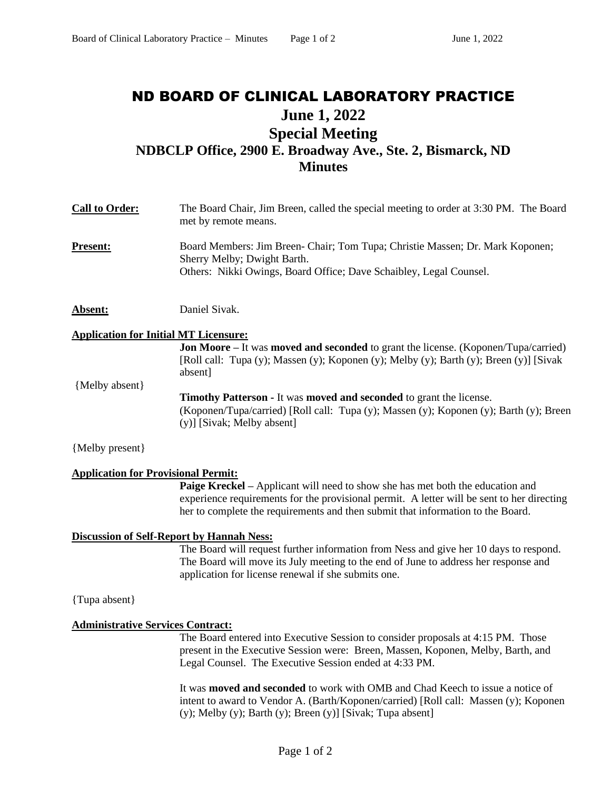## ND BOARD OF CLINICAL LABORATORY PRACTICE **June 1, 2022 Special Meeting NDBCLP Office, 2900 E. Broadway Ave., Ste. 2, Bismarck, ND Minutes**

| <b>Call to Order:</b>                        | The Board Chair, Jim Breen, called the special meeting to order at 3:30 PM. The Board<br>met by remote means.                                                                                          |
|----------------------------------------------|--------------------------------------------------------------------------------------------------------------------------------------------------------------------------------------------------------|
| <b>Present:</b>                              | Board Members: Jim Breen- Chair; Tom Tupa; Christie Massen; Dr. Mark Koponen;<br>Sherry Melby; Dwight Barth.<br>Others: Nikki Owings, Board Office; Dave Schaibley, Legal Counsel.                     |
| <b>Absent:</b>                               | Daniel Sivak.                                                                                                                                                                                          |
| <b>Application for Initial MT Licensure:</b> |                                                                                                                                                                                                        |
|                                              | <b>Jon Moore</b> – It was <b>moved and seconded</b> to grant the license. (Koponen/Tupa/carried)<br>[Roll call: Tupa (y); Massen (y); Koponen (y); Melby (y); Barth (y); Breen (y)] [Sivak]<br>absent] |
| {Melby absent}                               | <b>Timothy Patterson - It was moved and seconded to grant the license.</b><br>(Koponen/Tupa/carried) [Roll call: Tupa (y); Massen (y); Koponen (y); Barth (y); Breen<br>(y)] [Sivak; Melby absent]     |
| {Melby present}                              |                                                                                                                                                                                                        |
| <b>Application for Provisional Permit:</b>   | <b>Daige Knockel</b> Applicant will need to show she has met both the education and                                                                                                                    |

**Paige Kreckel** – Applicant will need to show she has met both the education and experience requirements for the provisional permit. A letter will be sent to her directing her to complete the requirements and then submit that information to the Board.

## **Discussion of Self-Report by Hannah Ness:**

The Board will request further information from Ness and give her 10 days to respond. The Board will move its July meeting to the end of June to address her response and application for license renewal if she submits one.

{Tupa absent}

## **Administrative Services Contract:**

The Board entered into Executive Session to consider proposals at 4:15 PM. Those present in the Executive Session were: Breen, Massen, Koponen, Melby, Barth, and Legal Counsel. The Executive Session ended at 4:33 PM.

It was **moved and seconded** to work with OMB and Chad Keech to issue a notice of intent to award to Vendor A. (Barth/Koponen/carried) [Roll call: Massen (y); Koponen (y); Melby (y); Barth (y); Breen (y)] [Sivak; Tupa absent]